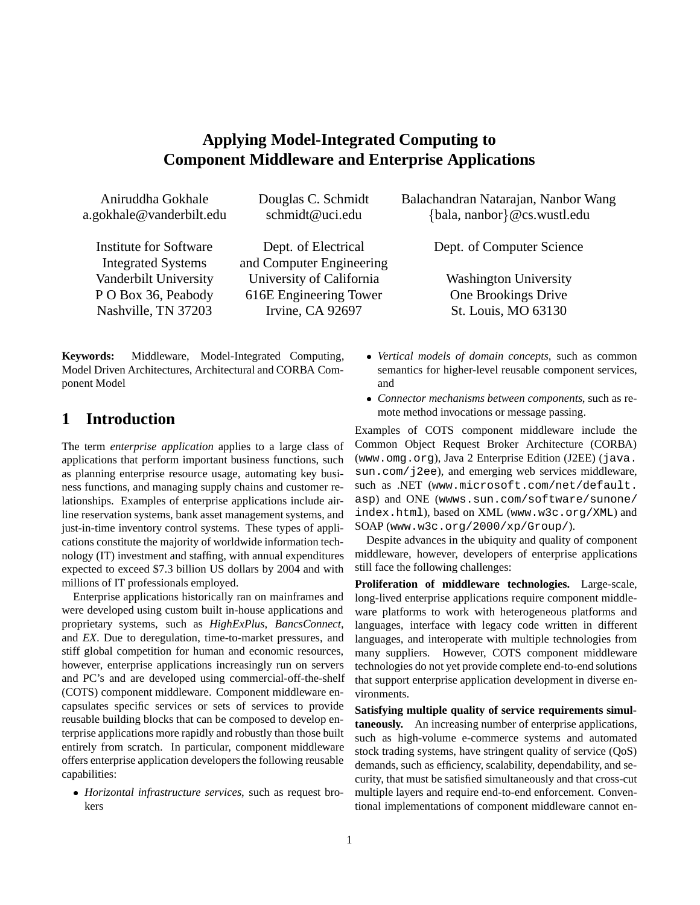## **Applying Model-Integrated Computing to Component Middleware and Enterprise Applications**

Integrated Systems and Computer Engineering Vanderbilt University University of California Washington University P O Box 36, Peabody 616E Engineering Tower One Brookings Drive Nashville, TN 37203 Irvine, CA 92697 St. Louis, MO 63130

**Keywords:** Middleware, Model-Integrated Computing, Model Driven Architectures, Architectural and CORBA Component Model

#### **1 Introduction**

The term *enterprise application* applies to a large class of applications that perform important business functions, such as planning enterprise resource usage, automating key business functions, and managing supply chains and customer relationships. Examples of enterprise applications include airline reservation systems, bank asset management systems, and just-in-time inventory control systems. These types of applications constitute the majority of worldwide information technology (IT) investment and staffing, with annual expenditures expected to exceed \$7.3 billion US dollars by 2004 and with millions of IT professionals employed.

Enterprise applications historically ran on mainframes and were developed using custom built in-house applications and proprietary systems, such as *HighExPlus*, *BancsConnect*, and *EX*. Due to deregulation, time-to-market pressures, and stiff global competition for human and economic resources, however, enterprise applications increasingly run on servers and PC's and are developed using commercial-off-the-shelf (COTS) component middleware. Component middleware encapsulates specific services or sets of services to provide reusable building blocks that can be composed to develop enterprise applications more rapidly and robustly than those built entirely from scratch. In particular, component middleware offers enterprise application developers the following reusable capabilities:

 *Horizontal infrastructure services*, such as request brokers

Aniruddha Gokhale Douglas C. Schmidt Balachandran Natarajan, Nanbor Wang a.gokhale@vanderbilt.edu schmidt@uci.edu {bala, nanbor}@cs.wustl.edu

Institute for Software Dept. of Electrical Dept. of Computer Science

- *Vertical models of domain concepts*, such as common semantics for higher-level reusable component services, and
- *Connector mechanisms between components*, such as remote method invocations or message passing.

Examples of COTS component middleware include the Common Object Request Broker Architecture (CORBA) (www.omg.org), Java 2 Enterprise Edition (J2EE) (java. sun.com/j2ee), and emerging web services middleware, such as .NET (www.microsoft.com/net/default. asp) and ONE (wwws.sun.com/software/sunone/ index.html), based on XML (www.w3c.org/XML) and SOAP (www.w3c.org/2000/xp/Group/).

Despite advances in the ubiquity and quality of component middleware, however, developers of enterprise applications still face the following challenges:

**Proliferation of middleware technologies.** Large-scale, long-lived enterprise applications require component middleware platforms to work with heterogeneous platforms and languages, interface with legacy code written in different languages, and interoperate with multiple technologies from many suppliers. However, COTS component middleware technologies do not yet provide complete end-to-end solutions that support enterprise application development in diverse environments.

**Satisfying multiple quality of service requirements simultaneously.** An increasing number of enterprise applications, such as high-volume e-commerce systems and automated stock trading systems, have stringent quality of service (QoS) demands, such as efficiency, scalability, dependability, and security, that must be satisfied simultaneously and that cross-cut multiple layers and require end-to-end enforcement. Conventional implementations of component middleware cannot en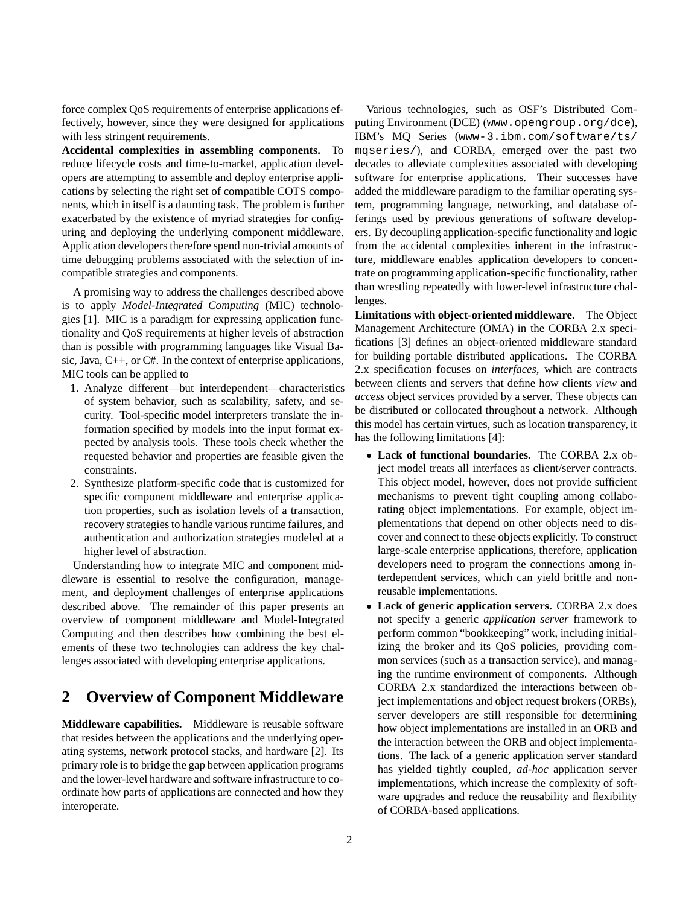force complex QoS requirements of enterprise applications effectively, however, since they were designed for applications with less stringent requirements.

**Accidental complexities in assembling components.** To reduce lifecycle costs and time-to-market, application developers are attempting to assemble and deploy enterprise applications by selecting the right set of compatible COTS components, which in itself is a daunting task. The problem is further exacerbated by the existence of myriad strategies for configuring and deploying the underlying component middleware. Application developers therefore spend non-trivial amounts of time debugging problems associated with the selection of incompatible strategies and components.

A promising way to address the challenges described above is to apply *Model-Integrated Computing* (MIC) technologies [1]. MIC is a paradigm for expressing application functionality and QoS requirements at higher levels of abstraction than is possible with programming languages like Visual Basic, Java, C++, or C#. In the context of enterprise applications, MIC tools can be applied to

- 1. Analyze different—but interdependent—characteristics of system behavior, such as scalability, safety, and security. Tool-specific model interpreters translate the information specified by models into the input format expected by analysis tools. These tools check whether the requested behavior and properties are feasible given the constraints.
- 2. Synthesize platform-specific code that is customized for specific component middleware and enterprise application properties, such as isolation levels of a transaction, recovery strategies to handle various runtime failures, and authentication and authorization strategies modeled at a higher level of abstraction.

Understanding how to integrate MIC and component middleware is essential to resolve the configuration, management, and deployment challenges of enterprise applications described above. The remainder of this paper presents an overview of component middleware and Model-Integrated Computing and then describes how combining the best elements of these two technologies can address the key challenges associated with developing enterprise applications.

### **2 Overview of Component Middleware**

**Middleware capabilities.** Middleware is reusable software that resides between the applications and the underlying operating systems, network protocol stacks, and hardware [2]. Its primary role is to bridge the gap between application programs and the lower-level hardware and software infrastructure to coordinate how parts of applications are connected and how they interoperate.

Various technologies, such as OSF's Distributed Computing Environment (DCE) (www.opengroup.org/dce), IBM's MQ Series (www-3.ibm.com/software/ts/ mqseries/), and CORBA, emerged over the past two decades to alleviate complexities associated with developing software for enterprise applications. Their successes have added the middleware paradigm to the familiar operating system, programming language, networking, and database offerings used by previous generations of software developers. By decoupling application-specific functionality and logic from the accidental complexities inherent in the infrastructure, middleware enables application developers to concentrate on programming application-specific functionality, rather than wrestling repeatedly with lower-level infrastructure challenges.

**Limitations with object-oriented middleware.** The Object Management Architecture (OMA) in the CORBA 2.x specifications [3] defines an object-oriented middleware standard for building portable distributed applications. The CORBA 2.x specification focuses on *interfaces*, which are contracts between clients and servers that define how clients *view* and *access* object services provided by a server. These objects can be distributed or collocated throughout a network. Although this model has certain virtues, such as location transparency, it has the following limitations [4]:

- **Lack of functional boundaries.** The CORBA 2.x object model treats all interfaces as client/server contracts. This object model, however, does not provide sufficient mechanisms to prevent tight coupling among collaborating object implementations. For example, object implementations that depend on other objects need to discover and connect to these objects explicitly. To construct large-scale enterprise applications, therefore, application developers need to program the connections among interdependent services, which can yield brittle and nonreusable implementations.
- **Lack of generic application servers.** CORBA 2.x does not specify a generic *application server* framework to perform common "bookkeeping" work, including initializing the broker and its QoS policies, providing common services (such as a transaction service), and managing the runtime environment of components. Although CORBA 2.x standardized the interactions between object implementations and object request brokers (ORBs), server developers are still responsible for determining how object implementations are installed in an ORB and the interaction between the ORB and object implementations. The lack of a generic application server standard has yielded tightly coupled, *ad-hoc* application server implementations, which increase the complexity of software upgrades and reduce the reusability and flexibility of CORBA-based applications.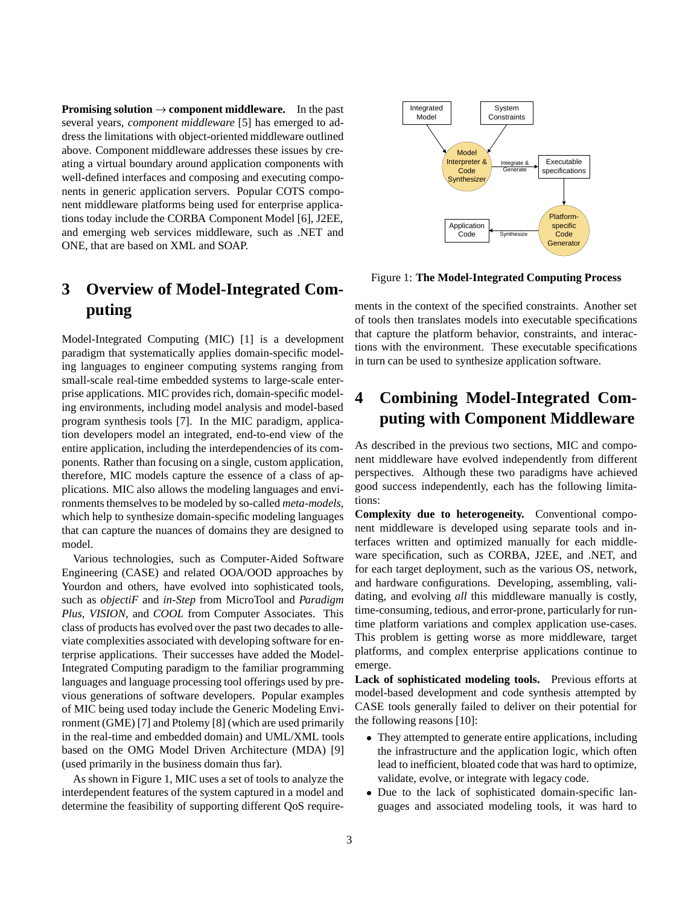**Promising solution**  $\rightarrow$  **component middleware.** In the past several years, *component middleware* [5] has emerged to address the limitations with object-oriented middleware outlined above. Component middleware addresses these issues by creating a virtual boundary around application components with well-defined interfaces and composing and executing components in generic application servers. Popular COTS component middleware platforms being used for enterprise applications today include the CORBA Component Model [6], J2EE, and emerging web services middleware, such as .NET and ONE, that are based on XML and SOAP.

# **3 Overview of Model-Integrated Computing**

Model-Integrated Computing (MIC) [1] is a development paradigm that systematically applies domain-specific modeling languages to engineer computing systems ranging from small-scale real-time embedded systems to large-scale enterprise applications. MIC provides rich, domain-specific modeling environments, including model analysis and model-based program synthesis tools [7]. In the MIC paradigm, application developers model an integrated, end-to-end view of the entire application, including the interdependencies of its components. Rather than focusing on a single, custom application, therefore, MIC models capture the essence of a class of applications. MIC also allows the modeling languages and environments themselves to be modeled by so-called *meta-models*, which help to synthesize domain-specific modeling languages that can capture the nuances of domains they are designed to model.

Various technologies, such as Computer-Aided Software Engineering (CASE) and related OOA/OOD approaches by Yourdon and others, have evolved into sophisticated tools, such as *objectiF* and *in-Step* from MicroTool and *Paradigm Plus*, *VISION*, and *COOL* from Computer Associates. This class of products has evolved over the past two decades to alleviate complexities associated with developing software for enterprise applications. Their successes have added the Model-Integrated Computing paradigm to the familiar programming languages and language processing tool offerings used by previous generations of software developers. Popular examples of MIC being used today include the Generic Modeling Environment (GME) [7] and Ptolemy [8] (which are used primarily in the real-time and embedded domain) and UML/XML tools based on the OMG Model Driven Architecture (MDA) [9] (used primarily in the business domain thus far).

As shown in Figure 1, MIC uses a set of tools to analyze the interdependent features of the system captured in a model and determine the feasibility of supporting different QoS require-



Figure 1: **The Model-Integrated Computing Process**

ments in the context of the specified constraints. Another set of tools then translates models into executable specifications that capture the platform behavior, constraints, and interactions with the environment. These executable specifications in turn can be used to synthesize application software.

## **4 Combining Model-Integrated Computing with Component Middleware**

As described in the previous two sections, MIC and component middleware have evolved independently from different perspectives. Although these two paradigms have achieved good success independently, each has the following limitations:

**Complexity due to heterogeneity.** Conventional component middleware is developed using separate tools and interfaces written and optimized manually for each middleware specification, such as CORBA, J2EE, and .NET, and for each target deployment, such as the various OS, network, and hardware configurations. Developing, assembling, validating, and evolving *all* this middleware manually is costly, time-consuming, tedious, and error-prone, particularly for runtime platform variations and complex application use-cases. This problem is getting worse as more middleware, target platforms, and complex enterprise applications continue to emerge.

Lack of sophisticated modeling tools. Previous efforts at model-based development and code synthesis attempted by CASE tools generally failed to deliver on their potential for the following reasons [10]:

- They attempted to generate entire applications, including the infrastructure and the application logic, which often lead to inefficient, bloated code that was hard to optimize, validate, evolve, or integrate with legacy code.
- Due to the lack of sophisticated domain-specific languages and associated modeling tools, it was hard to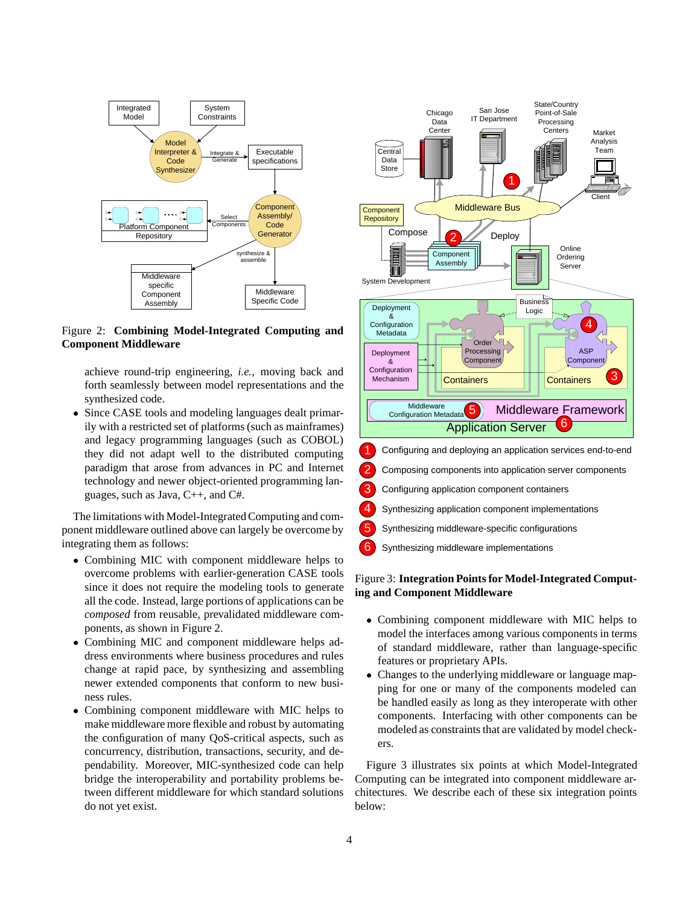

Figure 2: **Combining Model-Integrated Computing and Component Middleware**

achieve round-trip engineering, *i.e.*, moving back and forth seamlessly between model representations and the synthesized code.

 Since CASE tools and modeling languages dealt primarily with a restricted set of platforms (such as mainframes) and legacy programming languages (such as COBOL) they did not adapt well to the distributed computing paradigm that arose from advances in PC and Internet technology and newer object-oriented programming languages, such as Java, C++, and C#.

The limitations with Model-Integrated Computing and component middleware outlined above can largely be overcome by integrating them as follows:

- Combining MIC with component middleware helps to overcome problems with earlier-generation CASE tools since it does not require the modeling tools to generate all the code. Instead, large portions of applications can be *composed* from reusable, prevalidated middleware components, as shown in Figure 2.
- Combining MIC and component middleware helps address environments where business procedures and rules change at rapid pace, by synthesizing and assembling newer extended components that conform to new business rules.
- Combining component middleware with MIC helps to make middleware more flexible and robust by automating the configuration of many QoS-critical aspects, such as concurrency, distribution, transactions, security, and dependability. Moreover, MIC-synthesized code can help bridge the interoperability and portability problems between different middleware for which standard solutions do not yet exist.



#### Figure 3: **Integration Points for Model-Integrated Computing and Component Middleware**

- Combining component middleware with MIC helps to model the interfaces among various components in terms of standard middleware, rather than language-specific features or proprietary APIs.
- Changes to the underlying middleware or language mapping for one or many of the components modeled can be handled easily as long as they interoperate with other components. Interfacing with other components can be modeled as constraints that are validated by model checkers.

Figure 3 illustrates six points at which Model-Integrated Computing can be integrated into component middleware architectures. We describe each of these six integration points below: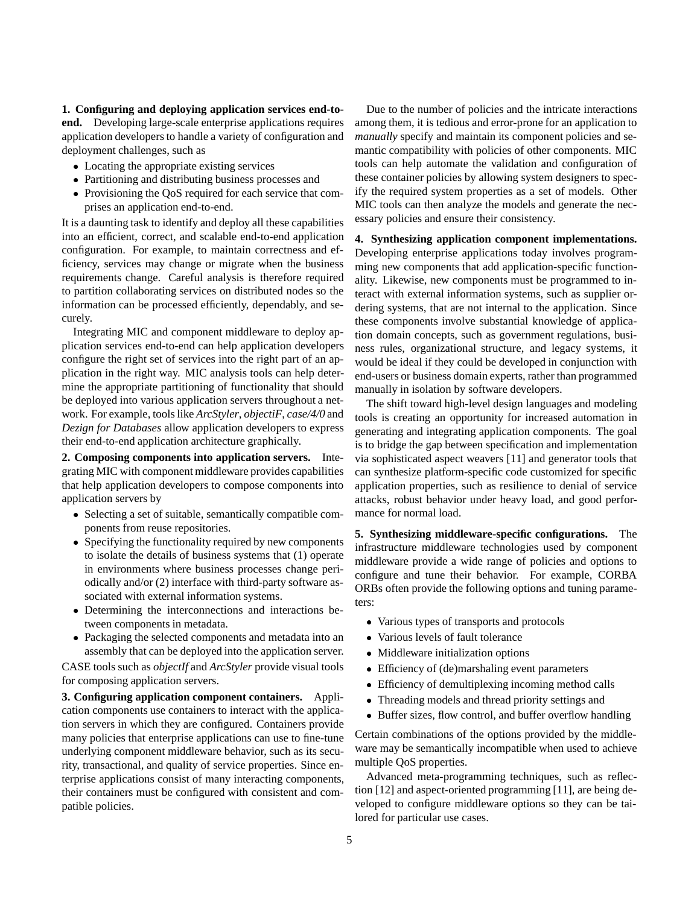**1. Configuring and deploying application services end-toend.** Developing large-scale enterprise applications requires application developers to handle a variety of configuration and deployment challenges, such as

- Locating the appropriate existing services
- Partitioning and distributing business processes and
- Provisioning the QoS required for each service that comprises an application end-to-end.

It is a daunting task to identify and deploy all these capabilities into an efficient, correct, and scalable end-to-end application configuration. For example, to maintain correctness and efficiency, services may change or migrate when the business requirements change. Careful analysis is therefore required to partition collaborating services on distributed nodes so the information can be processed efficiently, dependably, and securely.

Integrating MIC and component middleware to deploy application services end-to-end can help application developers configure the right set of services into the right part of an application in the right way. MIC analysis tools can help determine the appropriate partitioning of functionality that should be deployed into various application servers throughout a network. For example, tools like *ArcStyler*, *objectiF*, *case/4/0* and *Dezign for Databases* allow application developers to express their end-to-end application architecture graphically.

**2. Composing components into application servers.** Integrating MIC with component middleware provides capabilities that help application developers to compose components into application servers by

- Selecting a set of suitable, semantically compatible components from reuse repositories.
- Specifying the functionality required by new components to isolate the details of business systems that (1) operate in environments where business processes change periodically and/or (2) interface with third-party software associated with external information systems.
- Determining the interconnections and interactions between components in metadata.
- Packaging the selected components and metadata into an assembly that can be deployed into the application server.

CASE tools such as *objectIf* and *ArcStyler* provide visual tools for composing application servers.

**3. Configuring application component containers.** Application components use containers to interact with the application servers in which they are configured. Containers provide many policies that enterprise applications can use to fine-tune underlying component middleware behavior, such as its security, transactional, and quality of service properties. Since enterprise applications consist of many interacting components, their containers must be configured with consistent and compatible policies.

Due to the number of policies and the intricate interactions among them, it is tedious and error-prone for an application to *manually* specify and maintain its component policies and semantic compatibility with policies of other components. MIC tools can help automate the validation and configuration of these container policies by allowing system designers to specify the required system properties as a set of models. Other MIC tools can then analyze the models and generate the necessary policies and ensure their consistency.

**4. Synthesizing application component implementations.** Developing enterprise applications today involves programming new components that add application-specific functionality. Likewise, new components must be programmed to interact with external information systems, such as supplier ordering systems, that are not internal to the application. Since these components involve substantial knowledge of application domain concepts, such as government regulations, business rules, organizational structure, and legacy systems, it would be ideal if they could be developed in conjunction with end-users or business domain experts, rather than programmed manually in isolation by software developers.

The shift toward high-level design languages and modeling tools is creating an opportunity for increased automation in generating and integrating application components. The goal is to bridge the gap between specification and implementation via sophisticated aspect weavers [11] and generator tools that can synthesize platform-specific code customized for specific application properties, such as resilience to denial of service attacks, robust behavior under heavy load, and good performance for normal load.

**5. Synthesizing middleware-specific configurations.** The infrastructure middleware technologies used by component middleware provide a wide range of policies and options to configure and tune their behavior. For example, CORBA ORBs often provide the following options and tuning parameters:

- Various types of transports and protocols
- Various levels of fault tolerance
- Middleware initialization options
- Efficiency of (de)marshaling event parameters
- Efficiency of demultiplexing incoming method calls
- Threading models and thread priority settings and
- Buffer sizes, flow control, and buffer overflow handling

Certain combinations of the options provided by the middleware may be semantically incompatible when used to achieve multiple QoS properties.

Advanced meta-programming techniques, such as reflection [12] and aspect-oriented programming [11], are being developed to configure middleware options so they can be tailored for particular use cases.